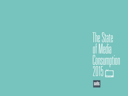The State of Media Consumption 2015

**Sells**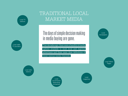Local TV stations

### TRADITIONAL LOCAL MARKET MEDIA

Local cable TV providers

The days of simple decision making in media buying are gone.

Two decades ago, there were a handful of media options available to most local and regional advertisers and there were clear definitions of these various media channels.

Local newspapers

> Local Yellow Pages

Local radio stations

> out-of-home advertising companies

Local Local Magazines and Magazines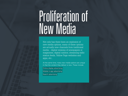# Proliferation of New Media

Not only has there been an explosion of new media options, many of these options are actually new channels from traditional media – digital versions of newspapers or magazines, digital outdoor, streaming radio station feeds, Yellow Page websites and apps, etc..

At the same time, many new media options are unique in that the content they deliver is new. These include: Online display advertising Mobile in-app advertising Search advertising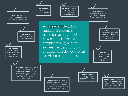

Hulu, MaxGo, HBO Now, etc.) on smartphones or tablets

Video content received through *online video* websites Video content received

on *smartphones and tablets* through mobile device apps from online video websites

Local TV programming received through a *web browser on station's website* (particularly local news)

*devices* from cable and satellite providers

> Local TV stations received on *smartphones and tablets* through mobile apps

National TV shows available online

and through *mobile*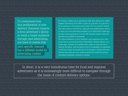To understand how this proliferation of new delivery channels impacts a local advertiser's ability to reach a target audience through paid advertising, you have to realize that each specific channel has a different model for advertising content.

For instance, Netflix has no advertising while Hulu allows local, highly targeted advertising at the DMA or even zip code level. You can buy a 30-second spot to run during Law & Order: SVU on a local TV station that will be seen on over the air, cable and most satellite feeds. However, there is no local advertising available on the WatchABC mobile app, through streaming devices or on the ABC network website where full episodes are available for streaming.

The same proliferation of new channels is also happening with traditional radio as streaming services (iHeartRadio, Pandora, Spotify, etc.), mobile apps, websites and satellite radio create an equal amount of channel disruption. And the same is true for newspapers, as readership is shifting to online and mobile sites of local papers, national and international news sites are more readily available and traditional printed newspaper readership continues to decline.

In short, it is a very tumultuous time for local and regional advertisers as it is increasingly more difficult to navigate through the maze of content delivery options.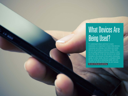# What Devices Are Being Used?

To understand where and how to reach consumers, it is important to know what devices consumers are utilizing. And while new media devices are growing in importance, they have not yet made traditional devices obsolete. In fact, one of the effects of the new devices is an overall increase in the amount of time spent consuming media. In other words, this isn't a situation where the size of the pie is remaining stable and new methods are taking away from the old. Instead, the size of the pie is growing.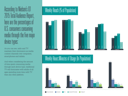According to Nielsen's Q1 2015 Total Audience Report, here are the percentages of U.S. consumers consuming media through the five major device types:

As you can see, radio and TV maintain their dominance as media content channels over computers, smartphones and tablets.

And when considering the amount of time spent consuming media through each device type, traditional TV still dominates with adults of all ages spending more time with TV than any other platform.

## Weekly Reach (% of Population)





### Weekly Hours:Minutes of Usage (In Population)





8:52

 $4.50$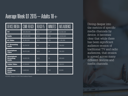### Average Week 01 2015 - Adults 18+

| DEVICE/MEDIA                                          | CUME REACH  | REACH % | MINUTES | AVG AUDIENCE |  |
|-------------------------------------------------------|-------------|---------|---------|--------------|--|
| <b>TV</b>                                             | 209,358,000 | 87.2    | 2,487   | 52,648,149   |  |
| <b>Radio</b>                                          | 222,921,000 | 92.8    | 838     | 18,532,520   |  |
| <b>PC Video</b>                                       | 86,382,003  | 36.0    | 250     | 2,145,386    |  |
| <b>PC Streaming</b><br><b>Audio</b>                   | 20,274,787  | 8.4     | 92      | 184,550      |  |
| <b>Smartphone</b><br><b>Video</b>                     | 88,572,389  | 36.9    | 38      | 332,253      |  |
| <b>Smartphone</b><br><b>Streaming</b><br><b>Audio</b> | 43,625,155  | 18.2    | 93      | 403,443      |  |
| <b>Tablet Video</b>                                   | 41,918,841  | 17.5    | 65      | 268,531      |  |
| <b>Tablet</b><br><b>Streaming</b><br><b>Audio</b>     | 8,489,524   | 3.5     | 103     | 86,699       |  |

SOURCE: Nielson Q1 2015 Total Audience Report

Diving deeper into the metrics of specific media channels by device, it becomes clear that while there has been significant audience erosion of traditional TV and radio audiences, that erosion is spread across many different devices and media channels.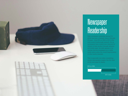

# Newspaper **Readership**

Daily newspaper readership among U.S. adults has seen a dramatic drop in the past 50 years – from 80% in 1964 to 42% in the most recent Scarborough research. But as newspapers have created new channels for delivery of their product through websites and mobile apps, the slide appears to be waning, leaving newspapers as a viable media option given the overall fragmentation of other media channels.

This is especially true when considering certain demographic targets. See the chart on the next page for deatils.

80% in 1964

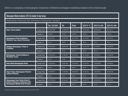Below is a sampling of demographic breakouts of different newspaper readership statistics from Scarborough:

| Newspaper Media Audience 2012 by Gender & Age Group                                                                 |            |                           |             |             |                       |                         |                    |  |  |  |
|---------------------------------------------------------------------------------------------------------------------|------------|---------------------------|-------------|-------------|-----------------------|-------------------------|--------------------|--|--|--|
| Market/Release: Scarborough USA+ 2012 Release 2 Total (Aug 2011 - Sep 2012)                                         |            |                           |             |             |                       |                         |                    |  |  |  |
|                                                                                                                     |            | <b>Base: Total Adults</b> | Men         | Women       | <b>Adults 18 - 34</b> | Adults 35 or older      | Adults 55 or older |  |  |  |
| <b>Base: Total Adults</b>                                                                                           | Target Pop | 237,024,889               | 114,809,214 | 122,215,675 | 70,221,488            | 166,803,401             | 80,729,713         |  |  |  |
|                                                                                                                     | Target %   | $100.0\%$                 | $100.0\%$   | $100.0\%$   | $100.0\%$             | $100.0\%$               | $100.0\%$          |  |  |  |
| <b>Newspaper Print/E-Edition/</b><br><b>Website: Avg. Issue/Yesterday</b>                                           | Target Pop | 98,645,784                | 50,487,974  | 48,157,810  | 19,953,520            | 78,692,264              | 44,301,551         |  |  |  |
|                                                                                                                     | Target %   | $41.6\%$                  | 44.0%       | 39.4%       | 28.4%                 | 47.2%                   | 54.9%              |  |  |  |
| <b>Sunday Newspaper: Print or</b><br><b>E-edition</b>                                                               | Target Pop | 102,019,452               | 48,092,669  | 53,926,783  | 20,783,390            | $\overline{81,236,062}$ | 45,689,039         |  |  |  |
|                                                                                                                     | Target %   | 43.0%                     | 41.9%       | 44.1%       | 29.6%                 | 48.7%                   | 56.6%              |  |  |  |
| <b>Newspaper: Print/E-Edition 5</b><br><b>Weekday Cume</b>                                                          | Target Pop | 124,700,514               | 61,780,593  | 62,919,921  | 28,756,262            | 95,944,252              | 52,928,058         |  |  |  |
|                                                                                                                     | Target %   | 52.6%                     | 53.8%       | $51.5\%$    | 41.0%                 | 57.5%                   | 65.6%              |  |  |  |
| <b>Past Week Newspaper Print</b>                                                                                    | Target Pop | 144,168,641               | 69,807,892  | 74,360,749  | 34,710,543            | 109,458,098             | 58,610,916         |  |  |  |
|                                                                                                                     | Target %   | 60.8%                     | 60.8%       | 60.8%       | 49.4%                 | 65.6%                   | 72.6%              |  |  |  |
| <b>Past 7 Days: Newspaper Print/E-</b><br>edition/Website                                                           | Target Pop | 157,899,419               | 77,449,869  | 80,449,550  | 39,706,743            | 118,192,676             | 60,905,326         |  |  |  |
|                                                                                                                     | Target %   | 66.6%                     | 67.5%       | 65.8%       | 56.5%                 | 70.9%                   | 75.4%              |  |  |  |
| <b>Newspaper Past Week Print/E-</b><br><b>Edition/Website combined with</b><br><b>Newspaper Mobile Past 30 days</b> | Target Pop | 163,784,048               | 80,503,431  | 83,280,617  | 42,967,739            | 120,816,309             | 61,398,836         |  |  |  |
|                                                                                                                     | Target %   | 69.1%                     | 70.1%       | 68.1%       | $61.2\%$              | 72.4%                   | 76.1%              |  |  |  |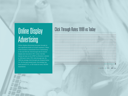# Online Display **Advertising**

Online display advertising has gone through its own significant shifts in its short existence. When it first became a mainstream form of advertising in the mid-90s the click-through rate for banner display ads was above 10%. In fact, the first banner ad was run by AT&T on Hotwire's website in 1994 and it had a 78% click-through rate. By 1999 the average click through rate dropped below 1%. For the past several years, the average has been around 0.1%, or 100 clicks for every 100,000 impressions.

Click Through Rates 1999 vs Today 

 $\blacksquare$  mid 90's  $\blacksquare$  1999  $\blacksquare$  Today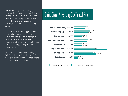This has led to significant change in the marketing purpose of online display advertising – from a clear goal of driving traffic of interested buyers to it becoming another tool to drive awareness and branding with a side-benefit of driving some traffic.

Of course, the nature and type of online display ads has adapted to some degree, allowing for more targeting with options like re-targeting, search behavior targeting, etc. that can drive click-through rates up while suppressing impressions and exposure.

The chart on the right shows average click-through rates of standard sizes of online display ads broken out by static and video ads (data from DoubleClick):

## Online Display Advertising Click-Through Rates



Non-Video click-through rate% Non-Video click-through rate%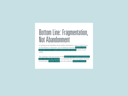# Bottom Line: Fragmentation, Not Abandonment

In reading recent headlines about media consumption, many of which focus on the decline in consumers' use of traditional channels, marketers might think that it is time to abandon traditional media channels in favor of new media.

The challenge with this reaction is that while the use of traditional channels is down, none of the new channels is so dominant that they can replace the level of reach that is available through even the weakened traditional channels.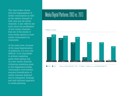The chart below shows both the fragmentation of media consumption as well as the relative strength of both new and old media channels. It also reflects one truth about the proliferation of new media channels – that one of the results of more media options is more media consumption by consumers.

At the same time, because of the mass fragmentation of audiences, it is now very difficult, if not impossible, to achieve marketing goals while relying only on a few media channels. Achieving marketing goals in this fragmented media consumption environment requires diversification of media channels deployed and an integrated, strategic and well-informed approach to media planning.

## Media/Digital Platforms 2003 vs. 2013

#### \*Millions of Users



2003 2013 Source: Infinite Dial 2013, TVB - "TV Basics," Arbitron Inc., and RADAR Base P12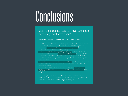# Conclusions

#### What does this all mean to advertisers and especially local advertisers?

#### Here are a few recommendations and take-aways:

The data and statistics included in this report are of the entire U.S. geography. However, with some media – cable and satellite TV and newspapers in particular – there are significant variations market-by-market that must be accounted for in local market media planning.

There is a balance between expanding media buys to include more media channels for effectiveness and expanding media channels to the point where effectiveness is hurt. This balance depends upon many factors – budgets, target audience, marketing goals, product type, etc. This is a campaign-bycampaign issue.

Be cautious about over-interpreting news headlines about media consumption as they tend to focus on year-over-year trends vs. overall media channel penetration and usage.

Because media plans are now more complex than ever, developing and deploying an effective media plan takes more time and expertise now than in the past.

The primary focus of this media outlook is regarding consumer media and while many of the same factors are present in business media, we have not attempted to address B2B media in depth in this report.